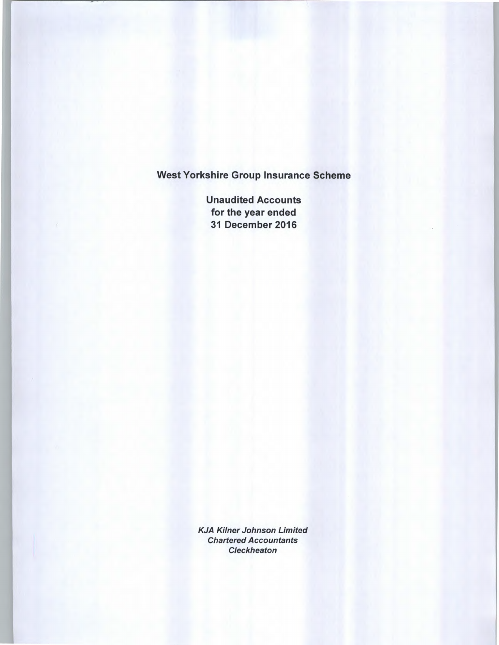Unaudited Accounts for the year ended 31 December 2016

KJA Kilner Johnson Limited Chartered Accountants **Cleckheaton**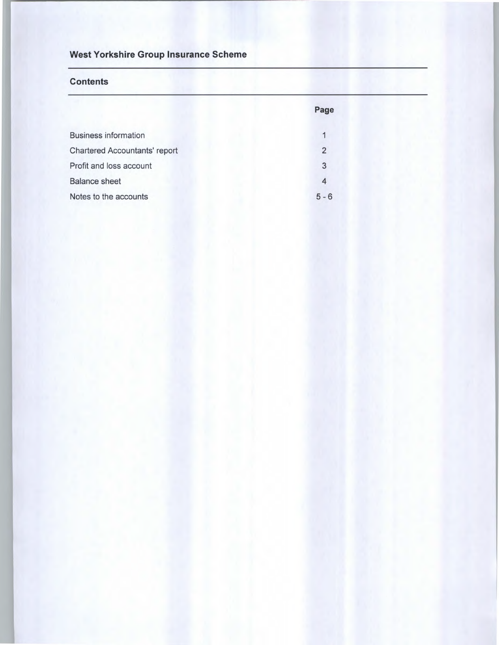### **Contents**

|                                      | Page    |
|--------------------------------------|---------|
| <b>Business information</b>          |         |
| <b>Chartered Accountants' report</b> | 2       |
| Profit and loss account              | 3       |
| <b>Balance sheet</b>                 |         |
| Notes to the accounts                | $5 - 6$ |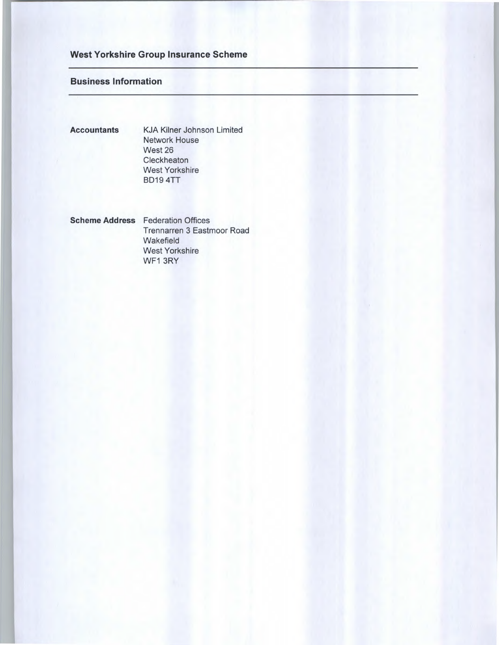### **Business Information**

**Accountants** KJA Kilner Johnson Limited Network House West 26 **Cleckheaton** West Yorkshire BD19 4TT

**Scheme Address** Federation Offices Trennarren 3 Eastmoor Road **Wakefield** West Yorkshire WF1 3RY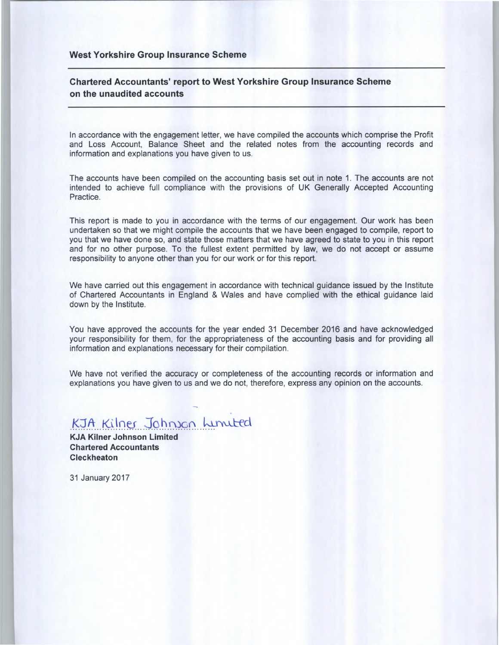### **Chartered Accountants' report to West Yorkshire Group Insurance Scheme on the unaudited accounts**

In accordance with the engagement letter, we have compiled the accounts which comprise the Profit and Loss Account, Balance Sheet and the related notes from the accounting records and information and explanations you have given to us.

The accounts have been compiled on the accounting basis set out in note 1. The accounts are not intended to achieve full compliance with the provisions of UK Generally Accepted Accounting Practice.

This report is made to you in accordance with the terms of our engagement. Our work has been undertaken so that we might compile the accounts that we have been engaged to compile, report to you that we have done so, and state those matters that we have agreed to state to you in this report and for no other purpose. To the fullest extent permitted by law, we do not accept or assume responsibility to anyone other than you for our work or for this report.

We have carried out this engagement in accordance with technical guidance issued by the Institute of Chartered Accountants in England & Wales and have complied with the ethical guidance laid down by the Institute.

You have approved the accounts for the year ended 31 December 2016 and have acknowledged your responsibility for them, for the appropriateness of the accounting basis and for providing all information and explanations necessary for their compilation.

We have not verified the accuracy or completeness of the accounting records or information and explanations you have given to us and we do not, therefore, express any opinion on the accounts.

# KJA Kilner Johnson Lunuted

**KJA Kilner Johnson Limited Chartered Accountants Cleckheaton** 

31 January 2017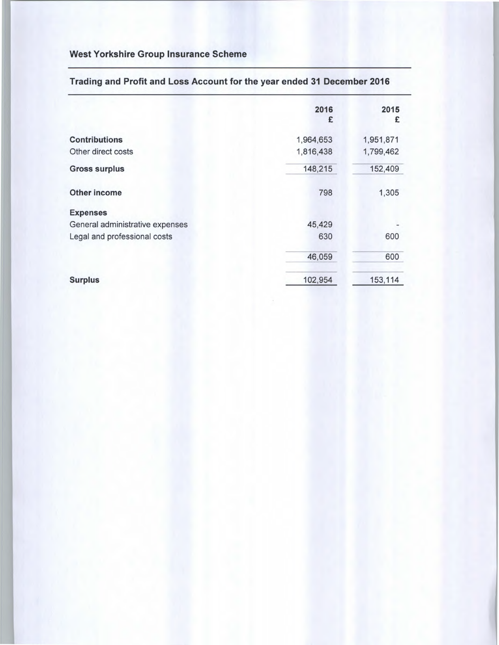|                                 | 2016<br>£ | 2015<br>£ |
|---------------------------------|-----------|-----------|
|                                 |           |           |
| <b>Contributions</b>            | 1,964,653 | 1,951,871 |
| Other direct costs              | 1,816,438 | 1,799,462 |
| <b>Gross surplus</b>            | 148,215   | 152,409   |
| <b>Other income</b>             | 798       | 1,305     |
| <b>Expenses</b>                 |           |           |
| General administrative expenses | 45,429    |           |
| Legal and professional costs    | 630       | 600       |
|                                 | 46,059    | 600       |
| <b>Surplus</b>                  | 102,954   | 153,114   |

# Trading and Profit and Loss Account for the year ended 31 December 2016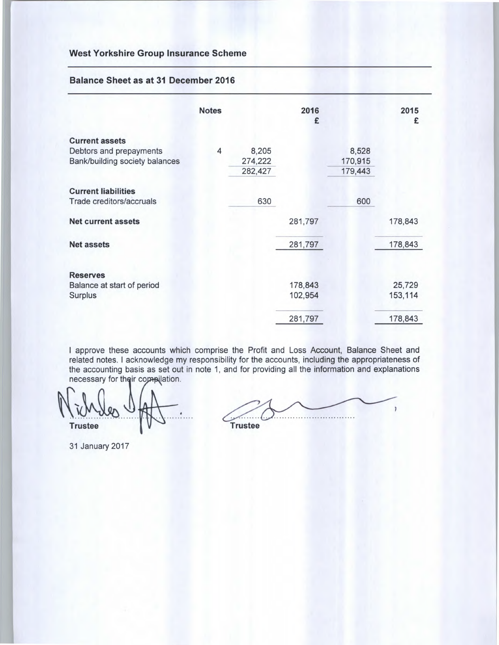#### **Balance Sheet as at 31 December 2016**

|                                | <b>Notes</b> |         | 2016<br>£ |         | 2015<br>£ |
|--------------------------------|--------------|---------|-----------|---------|-----------|
| <b>Current assets</b>          |              |         |           |         |           |
| Debtors and prepayments        | 4            | 8,205   |           | 8,528   |           |
| Bank/building society balances |              | 274,222 |           | 170,915 |           |
|                                |              | 282,427 |           | 179,443 |           |
| <b>Current liabilities</b>     |              |         |           |         |           |
| Trade creditors/accruals       |              | 630     |           | 600     |           |
| <b>Net current assets</b>      |              |         | 281,797   |         | 178,843   |
| <b>Net assets</b>              |              |         | 281,797   |         | 178,843   |
| <b>Reserves</b>                |              |         |           |         |           |
| Balance at start of period     |              |         | 178,843   |         | 25,729    |
| Surplus                        |              |         | 102,954   |         | 153,114   |
|                                |              |         | 281,797   |         | 178,843   |

I approve these accounts which comprise the Profit and Loss Account, Balance Sheet and related notes. I acknowledge my responsibility for the accounts, including the appropriateness of the accounting basis as set out in note 1, and for providing all the information and explanations necessary for their compilation.

**Trustee** 

**Trustee** 

31 January 2017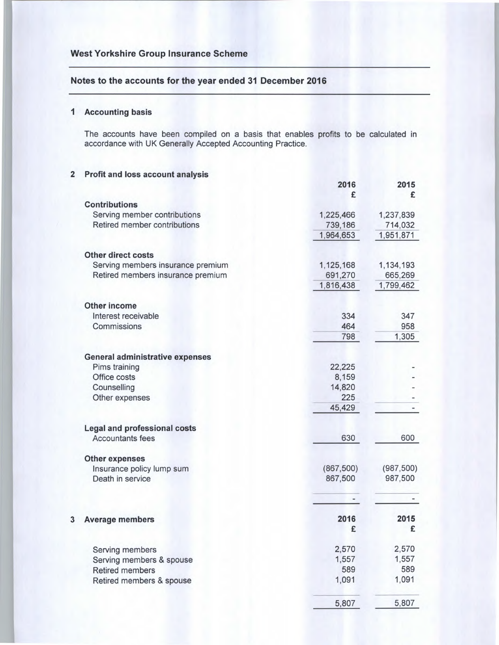### Notes to the accounts for the year ended 31 December 2016

#### **I Accounting basis**

The accounts have been compiled on a basis that enables profits to be calculated in accordance with UK Generally Accepted Accounting Practice.

### 2 **Profit and loss account analysis**

|                                        | 2016<br>£  | 2015<br>£  |
|----------------------------------------|------------|------------|
| <b>Contributions</b>                   |            |            |
| Serving member contributions           | 1,225,466  | 1,237,839  |
| Retired member contributions           | 739,186    | 714,032    |
|                                        | 1,964,653  | 1,951,871  |
| <b>Other direct costs</b>              |            |            |
| Serving members insurance premium      | 1,125,168  | 1,134,193  |
| Retired members insurance premium      | 691,270    | 665,269    |
|                                        | 1,816,438  | 1,799,462  |
| <b>Other income</b>                    |            |            |
| Interest receivable                    | 334        | 347        |
| Commissions                            | 464        | 958        |
|                                        | 798        | 1,305      |
| <b>General administrative expenses</b> |            |            |
| Pims training                          | 22,225     |            |
| Office costs                           | 8,159      |            |
| Counselling                            | 14,820     |            |
| Other expenses                         | 225        |            |
|                                        | 45,429     |            |
| <b>Legal and professional costs</b>    |            |            |
| <b>Accountants fees</b>                | 630        | 600        |
| <b>Other expenses</b>                  |            |            |
| Insurance policy lump sum              | (867, 500) | (987, 500) |
| Death in service                       | 867,500    | 987,500    |
|                                        |            |            |
| 3<br><b>Average members</b>            | 2016       | 2015       |
|                                        | £          | £          |
| Serving members                        | 2,570      | 2,570      |
| Serving members & spouse               | 1,557      | 1,557      |
| <b>Retired members</b>                 | 589        | 589        |
| Retired members & spouse               | 1,091      | 1,091      |
|                                        | 5,807      | 5,807      |